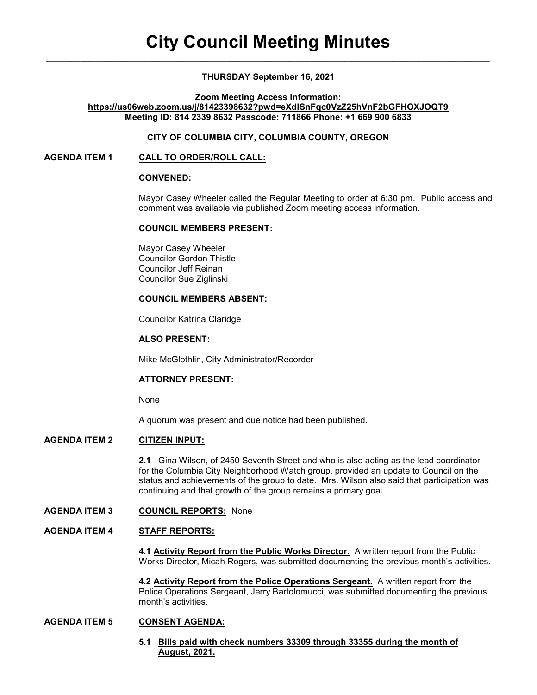## THURSDAY September 16, 2021

Zoom Meeting Access Information:

## https://us06web.zoom.us/j/81423398632?pwd=eXdlSnFqc0VzZ25hVnF2bGFHOXJOQT9 Meeting ID: 814 2339 8632 Passcode: 711866 Phone: +1 669 900 6833

## CITY OF COLUMBIA CITY, COLUMBIA COUNTY, OREGON

## AGENDA ITEM 1 CALL TO ORDER/ROLL CALL:

## CONVENED:

Mayor Casey Wheeler called the Regular Meeting to order at 6:30 pm. Public access and comment was available via published Zoom meeting access information.

### COUNCIL MEMBERS PRESENT:

 Mayor Casey Wheeler Councilor Gordon Thistle Councilor Jeff Reinan Councilor Sue Ziglinski

## COUNCIL MEMBERS ABSENT:

Councilor Katrina Claridge

## ALSO PRESENT:

Mike McGlothlin, City Administrator/Recorder

# ATTORNEY PRESENT:

None

A quorum was present and due notice had been published.

# AGENDA ITEM 2 CITIZEN INPUT:

2.1 Gina Wilson, of 2450 Seventh Street and who is also acting as the lead coordinator for the Columbia City Neighborhood Watch group, provided an update to Council on the status and achievements of the group to date. Mrs. Wilson also said that participation was continuing and that growth of the group remains a primary goal.

AGENDA ITEM 3 COUNCIL REPORTS: None

## AGENDA ITEM 4 STAFF REPORTS:

 4.1 Activity Report from the Public Works Director. A written report from the Public Works Director, Micah Rogers, was submitted documenting the previous month's activities.

 4.2 Activity Report from the Police Operations Sergeant. A written report from the Police Operations Sergeant, Jerry Bartolomucci, was submitted documenting the previous month's activities.

## AGENDA ITEM 5 CONSENT AGENDA:

 5.1 Bills paid with check numbers 33309 through 33355 during the month of August, 2021.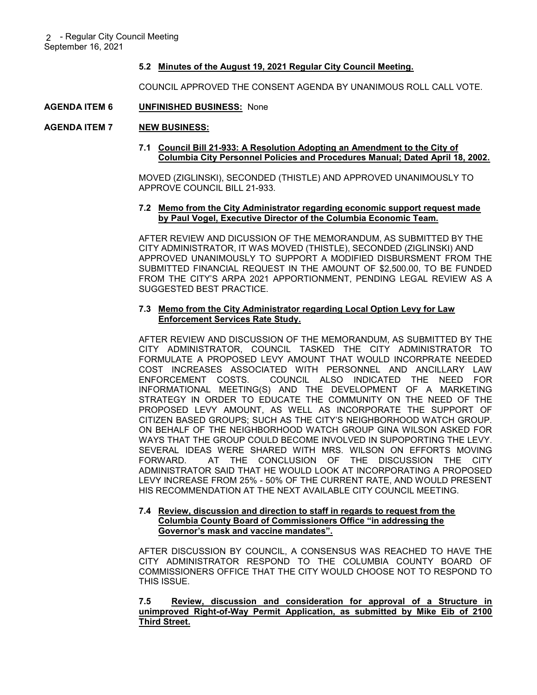## 5.2 Minutes of the August 19, 2021 Regular City Council Meeting.

COUNCIL APPROVED THE CONSENT AGENDA BY UNANIMOUS ROLL CALL VOTE.

### AGENDA ITEM 6 UNFINISHED BUSINESS: None

#### AGENDA ITEM 7 NEW BUSINESS:

### 7.1 Council Bill 21-933: A Resolution Adopting an Amendment to the City of Columbia City Personnel Policies and Procedures Manual; Dated April 18, 2002.

 MOVED (ZIGLINSKI), SECONDED (THISTLE) AND APPROVED UNANIMOUSLY TO APPROVE COUNCIL BILL 21-933.

### 7.2 Memo from the City Administrator regarding economic support request made by Paul Vogel, Executive Director of the Columbia Economic Team.

 AFTER REVIEW AND DICUSSION OF THE MEMORANDUM, AS SUBMITTED BY THE CITY ADMINISTRATOR, IT WAS MOVED (THISTLE), SECONDED (ZIGLINSKI) AND APPROVED UNANIMOUSLY TO SUPPORT A MODIFIED DISBURSMENT FROM THE SUBMITTED FINANCIAL REQUEST IN THE AMOUNT OF \$2,500.00, TO BE FUNDED FROM THE CITY'S ARPA 2021 APPORTIONMENT, PENDING LEGAL REVIEW AS A SUGGESTED BEST PRACTICE.

## 7.3 Memo from the City Administrator regarding Local Option Levy for Law Enforcement Services Rate Study.

AFTER REVIEW AND DISCUSSION OF THE MEMORANDUM, AS SUBMITTED BY THE CITY ADMINISTRATOR, COUNCIL TASKED THE CITY ADMINISTRATOR TO FORMULATE A PROPOSED LEVY AMOUNT THAT WOULD INCORPRATE NEEDED COST INCREASES ASSOCIATED WITH PERSONNEL AND ANCILLARY LAW ENFORCEMENT COSTS. COUNCIL ALSO INDICATED THE NEED FOR INFORMATIONAL MEETING(S) AND THE DEVELOPMENT OF A MARKETING STRATEGY IN ORDER TO EDUCATE THE COMMUNITY ON THE NEED OF THE PROPOSED LEVY AMOUNT, AS WELL AS INCORPORATE THE SUPPORT OF CITIZEN BASED GROUPS; SUCH AS THE CITY'S NEIGHBORHOOD WATCH GROUP. ON BEHALF OF THE NEIGHBORHOOD WATCH GROUP GINA WILSON ASKED FOR WAYS THAT THE GROUP COULD BECOME INVOLVED IN SUPOPORTING THE LEVY. SEVERAL IDEAS WERE SHARED WITH MRS. WILSON ON EFFORTS MOVING FORWARD. AT THE CONCLUSION OF THE DISCUSSION THE CITY ADMINISTRATOR SAID THAT HE WOULD LOOK AT INCORPORATING A PROPOSED LEVY INCREASE FROM 25% - 50% OF THE CURRENT RATE, AND WOULD PRESENT HIS RECOMMENDATION AT THE NEXT AVAILABLE CITY COUNCIL MEETING.

#### 7.4 Review, discussion and direction to staff in regards to request from the Columbia County Board of Commissioners Office "in addressing the Governor's mask and vaccine mandates".

AFTER DISCUSSION BY COUNCIL, A CONSENSUS WAS REACHED TO HAVE THE CITY ADMINISTRATOR RESPOND TO THE COLUMBIA COUNTY BOARD OF COMMISSIONERS OFFICE THAT THE CITY WOULD CHOOSE NOT TO RESPOND TO THIS ISSUE.

## 7.5 Review, discussion and consideration for approval of a Structure in unimproved Right-of-Way Permit Application, as submitted by Mike Eib of 2100 Third Street.